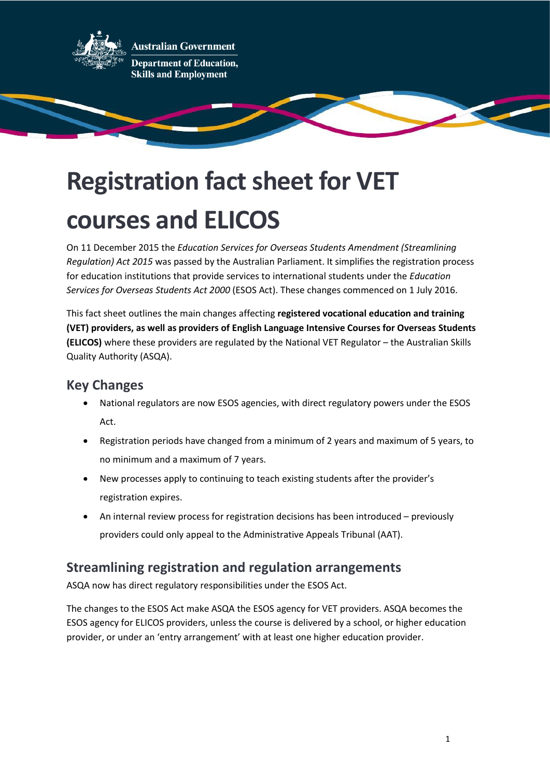

**Australian Government Department of Education, Skills and Employment** 

# **Registration fact sheet for VET courses and ELICOS**

On 11 December 2015 the *Education Services for Overseas Students Amendment (Streamlining Regulation) Act 2015* was passed by the Australian Parliament. It simplifies the registration process for education institutions that provide services to international students under the *Education Services for Overseas Students Act 2000* (ESOS Act). These changes commenced on 1 July 2016.

This fact sheet outlines the main changes affecting **registered vocational education and training (VET) providers, as well as providers of English Language Intensive Courses for Overseas Students (ELICOS)** where these providers are regulated by the National VET Regulator – the Australian Skills Quality Authority (ASQA).

# **Key Changes**

- National regulators are now ESOS agencies, with direct regulatory powers under the ESOS Act.
- Registration periods have changed from a minimum of 2 years and maximum of 5 years, to no minimum and a maximum of 7 years.
- New processes apply to continuing to teach existing students after the provider's registration expires.
- An internal review process for registration decisions has been introduced previously providers could only appeal to the Administrative Appeals Tribunal (AAT).

# **Streamlining registration and regulation arrangements**

ASQA now has direct regulatory responsibilities under the ESOS Act.

The changes to the ESOS Act make ASQA the ESOS agency for VET providers. ASQA becomes the ESOS agency for ELICOS providers, unless the course is delivered by a school, or higher education provider, or under an 'entry arrangement' with at least one higher education provider.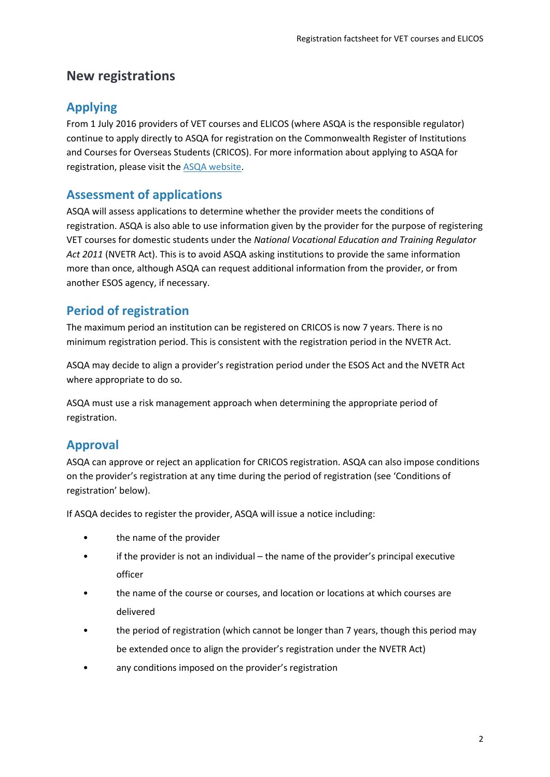# **New registrations**

# **Applying**

From 1 July 2016 providers of VET courses and ELICOS (where ASQA is the responsible regulator) continue to apply directly to ASQA for registration on the Commonwealth Register of Institutions and Courses for Overseas Students (CRICOS). For more information about applying to ASQA for registration, please visit the [ASQA website.](http://www.asqa.gov.au/)

## **Assessment of applications**

ASQA will assess applications to determine whether the provider meets the conditions of registration. ASQA is also able to use information given by the provider for the purpose of registering VET courses for domestic students under the *National Vocational Education and Training Regulator Act 2011* (NVETR Act). This is to avoid ASQA asking institutions to provide the same information more than once, although ASQA can request additional information from the provider, or from another ESOS agency, if necessary.

## **Period of registration**

The maximum period an institution can be registered on CRICOS is now 7 years. There is no minimum registration period. This is consistent with the registration period in the NVETR Act.

ASQA may decide to align a provider's registration period under the ESOS Act and the NVETR Act where appropriate to do so.

ASQA must use a risk management approach when determining the appropriate period of registration.

# **Approval**

ASQA can approve or reject an application for CRICOS registration. ASQA can also impose conditions on the provider's registration at any time during the period of registration (see 'Conditions of registration' below).

If ASQA decides to register the provider, ASQA will issue a notice including:

- the name of the provider
- if the provider is not an individual the name of the provider's principal executive officer
- the name of the course or courses, and location or locations at which courses are delivered
- the period of registration (which cannot be longer than 7 years, though this period may be extended once to align the provider's registration under the NVETR Act)
- any conditions imposed on the provider's registration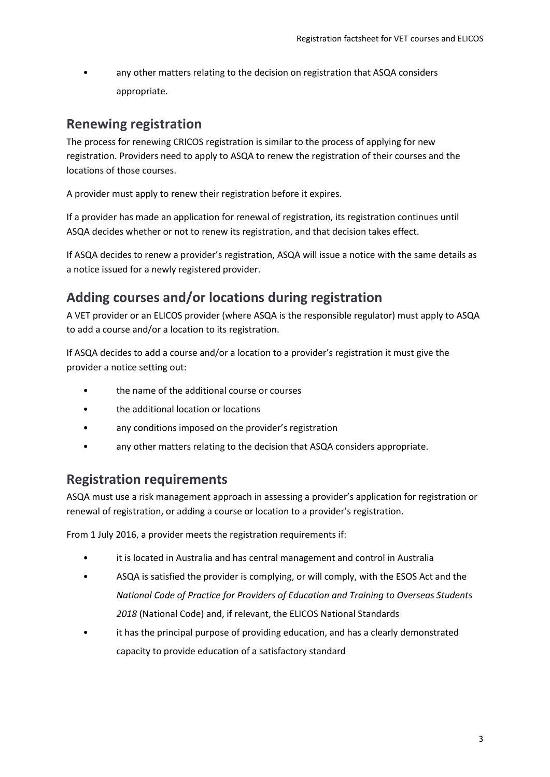• any other matters relating to the decision on registration that ASQA considers appropriate.

## **Renewing registration**

The process for renewing CRICOS registration is similar to the process of applying for new registration. Providers need to apply to ASQA to renew the registration of their courses and the locations of those courses.

A provider must apply to renew their registration before it expires.

If a provider has made an application for renewal of registration, its registration continues until ASQA decides whether or not to renew its registration, and that decision takes effect.

If ASQA decides to renew a provider's registration, ASQA will issue a notice with the same details as a notice issued for a newly registered provider.

# **Adding courses and/or locations during registration**

A VET provider or an ELICOS provider (where ASQA is the responsible regulator) must apply to ASQA to add a course and/or a location to its registration.

If ASQA decides to add a course and/or a location to a provider's registration it must give the provider a notice setting out:

- the name of the additional course or courses
- the additional location or locations
- any conditions imposed on the provider's registration
- any other matters relating to the decision that ASQA considers appropriate.

#### **Registration requirements**

ASQA must use a risk management approach in assessing a provider's application for registration or renewal of registration, or adding a course or location to a provider's registration.

From 1 July 2016, a provider meets the registration requirements if:

- it is located in Australia and has central management and control in Australia
- ASQA is satisfied the provider is complying, or will comply, with the ESOS Act and the *National Code of Practice for Providers of Education and Training to Overseas Students 2018* (National Code) and, if relevant, the ELICOS National Standards
- it has the principal purpose of providing education, and has a clearly demonstrated capacity to provide education of a satisfactory standard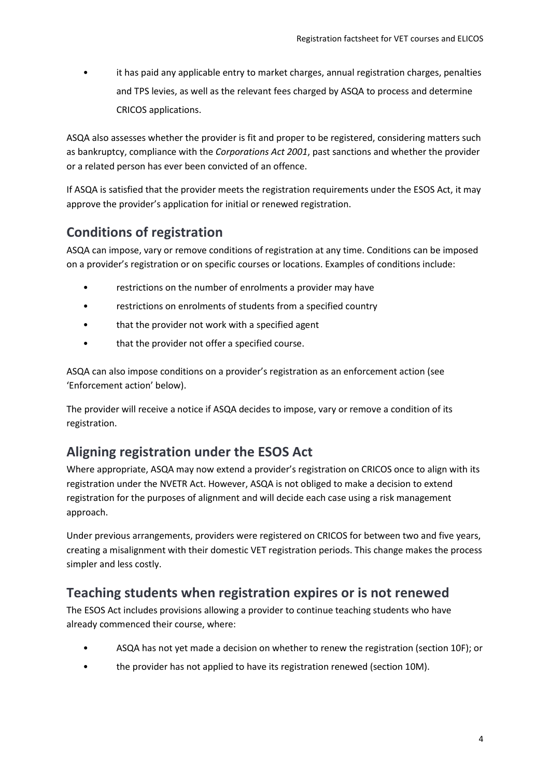• it has paid any applicable entry to market charges, annual registration charges, penalties and TPS levies, as well as the relevant fees charged by ASQA to process and determine CRICOS applications.

ASQA also assesses whether the provider is fit and proper to be registered, considering matters such as bankruptcy, compliance with the *Corporations Act 2001*, past sanctions and whether the provider or a related person has ever been convicted of an offence.

If ASQA is satisfied that the provider meets the registration requirements under the ESOS Act, it may approve the provider's application for initial or renewed registration.

# **Conditions of registration**

ASQA can impose, vary or remove conditions of registration at any time. Conditions can be imposed on a provider's registration or on specific courses or locations. Examples of conditions include:

- restrictions on the number of enrolments a provider may have
- restrictions on enrolments of students from a specified country
- that the provider not work with a specified agent
- that the provider not offer a specified course.

ASQA can also impose conditions on a provider's registration as an enforcement action (see 'Enforcement action' below).

The provider will receive a notice if ASQA decides to impose, vary or remove a condition of its registration.

# **Aligning registration under the ESOS Act**

Where appropriate, ASQA may now extend a provider's registration on CRICOS once to align with its registration under the NVETR Act. However, ASQA is not obliged to make a decision to extend registration for the purposes of alignment and will decide each case using a risk management approach.

Under previous arrangements, providers were registered on CRICOS for between two and five years, creating a misalignment with their domestic VET registration periods. This change makes the process simpler and less costly.

# **Teaching students when registration expires or is not renewed**

The ESOS Act includes provisions allowing a provider to continue teaching students who have already commenced their course, where:

- ASQA has not yet made a decision on whether to renew the registration (section 10F); or
- the provider has not applied to have its registration renewed (section 10M).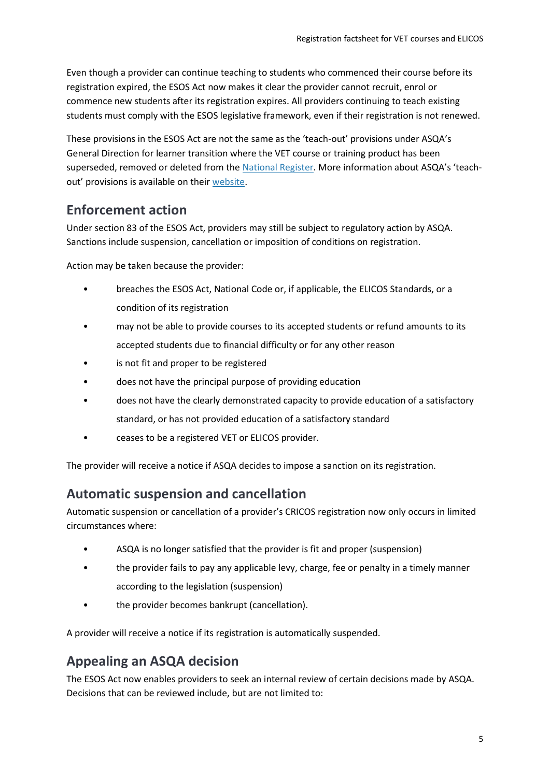Even though a provider can continue teaching to students who commenced their course before its registration expired, the ESOS Act now makes it clear the provider cannot recruit, enrol or commence new students after its registration expires. All providers continuing to teach existing students must comply with the ESOS legislative framework, even if their registration is not renewed.

These provisions in the ESOS Act are not the same as the 'teach-out' provisions under ASQA's General Direction for learner transition where the VET course or training product has been superseded, removed or deleted from the [National Register.](http://www.training.gov.au/) More information about ASQA's 'teachout' provisions is available on their [website.](https://www.asqa.gov.au/resources/general-directions/learner-transition)

# **Enforcement action**

Under section 83 of the ESOS Act, providers may still be subject to regulatory action by ASQA. Sanctions include suspension, cancellation or imposition of conditions on registration.

Action may be taken because the provider:

- breaches the ESOS Act, National Code or, if applicable, the ELICOS Standards, or a condition of its registration
- may not be able to provide courses to its accepted students or refund amounts to its accepted students due to financial difficulty or for any other reason
- is not fit and proper to be registered
- does not have the principal purpose of providing education
- does not have the clearly demonstrated capacity to provide education of a satisfactory standard, or has not provided education of a satisfactory standard
- ceases to be a registered VET or ELICOS provider.

The provider will receive a notice if ASQA decides to impose a sanction on its registration.

# **Automatic suspension and cancellation**

Automatic suspension or cancellation of a provider's CRICOS registration now only occurs in limited circumstances where:

- ASQA is no longer satisfied that the provider is fit and proper (suspension)
- the provider fails to pay any applicable levy, charge, fee or penalty in a timely manner according to the legislation (suspension)
- the provider becomes bankrupt (cancellation).

A provider will receive a notice if its registration is automatically suspended.

#### **Appealing an ASQA decision**

The ESOS Act now enables providers to seek an internal review of certain decisions made by ASQA. Decisions that can be reviewed include, but are not limited to: